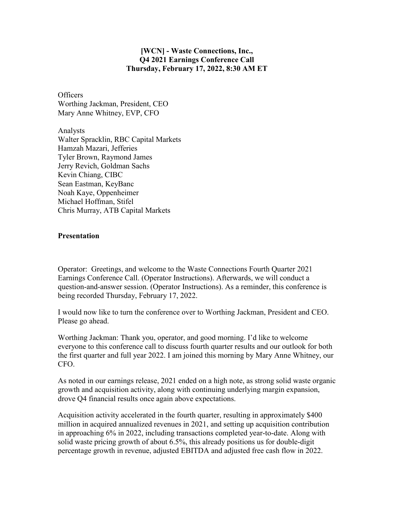## **[WCN] - Waste Connections, Inc., Q4 2021 Earnings Conference Call Thursday, February 17, 2022, 8:30 AM ET**

**Officers** Worthing Jackman, President, CEO Mary Anne Whitney, EVP, CFO

Analysts Walter Spracklin, RBC Capital Markets Hamzah Mazari, Jefferies Tyler Brown, Raymond James Jerry Revich, Goldman Sachs Kevin Chiang, CIBC Sean Eastman, KeyBanc Noah Kaye, Oppenheimer Michael Hoffman, Stifel Chris Murray, ATB Capital Markets

## **Presentation**

Operator: Greetings, and welcome to the Waste Connections Fourth Quarter 2021 Earnings Conference Call. (Operator Instructions). Afterwards, we will conduct a question-and-answer session. (Operator Instructions). As a reminder, this conference is being recorded Thursday, February 17, 2022.

I would now like to turn the conference over to Worthing Jackman, President and CEO. Please go ahead.

Worthing Jackman: Thank you, operator, and good morning. I'd like to welcome everyone to this conference call to discuss fourth quarter results and our outlook for both the first quarter and full year 2022. I am joined this morning by Mary Anne Whitney, our CFO.

As noted in our earnings release, 2021 ended on a high note, as strong solid waste organic growth and acquisition activity, along with continuing underlying margin expansion, drove Q4 financial results once again above expectations.

Acquisition activity accelerated in the fourth quarter, resulting in approximately \$400 million in acquired annualized revenues in 2021, and setting up acquisition contribution in approaching 6% in 2022, including transactions completed year-to-date. Along with solid waste pricing growth of about 6.5%, this already positions us for double-digit percentage growth in revenue, adjusted EBITDA and adjusted free cash flow in 2022.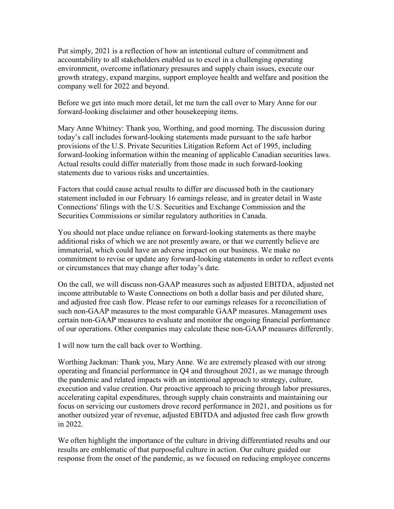Put simply, 2021 is a reflection of how an intentional culture of commitment and accountability to all stakeholders enabled us to excel in a challenging operating environment, overcome inflationary pressures and supply chain issues, execute our growth strategy, expand margins, support employee health and welfare and position the company well for 2022 and beyond.

Before we get into much more detail, let me turn the call over to Mary Anne for our forward-looking disclaimer and other housekeeping items.

Mary Anne Whitney: Thank you, Worthing, and good morning. The discussion during today's call includes forward-looking statements made pursuant to the safe harbor provisions of the U.S. Private Securities Litigation Reform Act of 1995, including forward-looking information within the meaning of applicable Canadian securities laws. Actual results could differ materially from those made in such forward-looking statements due to various risks and uncertainties.

Factors that could cause actual results to differ are discussed both in the cautionary statement included in our February 16 earnings release, and in greater detail in Waste Connections' filings with the U.S. Securities and Exchange Commission and the Securities Commissions or similar regulatory authorities in Canada.

You should not place undue reliance on forward-looking statements as there maybe additional risks of which we are not presently aware, or that we currently believe are immaterial, which could have an adverse impact on our business. We make no commitment to revise or update any forward-looking statements in order to reflect events or circumstances that may change after today's date.

On the call, we will discuss non-GAAP measures such as adjusted EBITDA, adjusted net income attributable to Waste Connections on both a dollar basis and per diluted share, and adjusted free cash flow. Please refer to our earnings releases for a reconciliation of such non-GAAP measures to the most comparable GAAP measures. Management uses certain non-GAAP measures to evaluate and monitor the ongoing financial performance of our operations. Other companies may calculate these non-GAAP measures differently.

I will now turn the call back over to Worthing.

Worthing Jackman: Thank you, Mary Anne. We are extremely pleased with our strong operating and financial performance in Q4 and throughout 2021, as we manage through the pandemic and related impacts with an intentional approach to strategy, culture, execution and value creation. Our proactive approach to pricing through labor pressures, accelerating capital expenditures, through supply chain constraints and maintaining our focus on servicing our customers drove record performance in 2021, and positions us for another outsized year of revenue, adjusted EBITDA and adjusted free cash flow growth in 2022.

We often highlight the importance of the culture in driving differentiated results and our results are emblematic of that purposeful culture in action. Our culture guided our response from the onset of the pandemic, as we focused on reducing employee concerns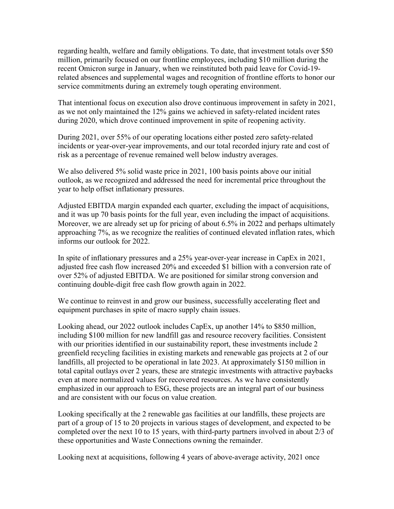regarding health, welfare and family obligations. To date, that investment totals over \$50 million, primarily focused on our frontline employees, including \$10 million during the recent Omicron surge in January, when we reinstituted both paid leave for Covid-19 related absences and supplemental wages and recognition of frontline efforts to honor our service commitments during an extremely tough operating environment.

That intentional focus on execution also drove continuous improvement in safety in 2021, as we not only maintained the 12% gains we achieved in safety-related incident rates during 2020, which drove continued improvement in spite of reopening activity.

During 2021, over 55% of our operating locations either posted zero safety-related incidents or year-over-year improvements, and our total recorded injury rate and cost of risk as a percentage of revenue remained well below industry averages.

We also delivered 5% solid waste price in 2021, 100 basis points above our initial outlook, as we recognized and addressed the need for incremental price throughout the year to help offset inflationary pressures.

Adjusted EBITDA margin expanded each quarter, excluding the impact of acquisitions, and it was up 70 basis points for the full year, even including the impact of acquisitions. Moreover, we are already set up for pricing of about 6.5% in 2022 and perhaps ultimately approaching 7%, as we recognize the realities of continued elevated inflation rates, which informs our outlook for 2022.

In spite of inflationary pressures and a 25% year-over-year increase in CapEx in 2021, adjusted free cash flow increased 20% and exceeded \$1 billion with a conversion rate of over 52% of adjusted EBITDA. We are positioned for similar strong conversion and continuing double-digit free cash flow growth again in 2022.

We continue to reinvest in and grow our business, successfully accelerating fleet and equipment purchases in spite of macro supply chain issues.

Looking ahead, our 2022 outlook includes CapEx, up another 14% to \$850 million, including \$100 million for new landfill gas and resource recovery facilities. Consistent with our priorities identified in our sustainability report, these investments include 2 greenfield recycling facilities in existing markets and renewable gas projects at 2 of our landfills, all projected to be operational in late 2023. At approximately \$150 million in total capital outlays over 2 years, these are strategic investments with attractive paybacks even at more normalized values for recovered resources. As we have consistently emphasized in our approach to ESG, these projects are an integral part of our business and are consistent with our focus on value creation.

Looking specifically at the 2 renewable gas facilities at our landfills, these projects are part of a group of 15 to 20 projects in various stages of development, and expected to be completed over the next 10 to 15 years, with third-party partners involved in about 2/3 of these opportunities and Waste Connections owning the remainder.

Looking next at acquisitions, following 4 years of above-average activity, 2021 once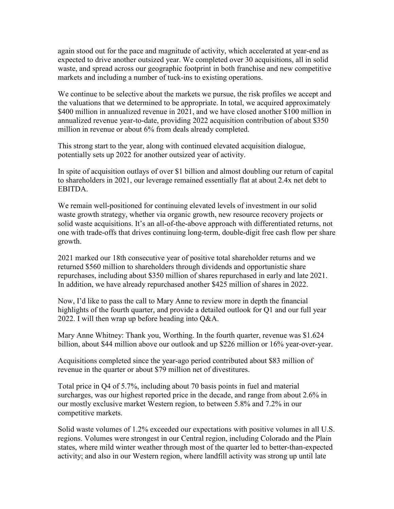again stood out for the pace and magnitude of activity, which accelerated at year-end as expected to drive another outsized year. We completed over 30 acquisitions, all in solid waste, and spread across our geographic footprint in both franchise and new competitive markets and including a number of tuck-ins to existing operations.

We continue to be selective about the markets we pursue, the risk profiles we accept and the valuations that we determined to be appropriate. In total, we acquired approximately \$400 million in annualized revenue in 2021, and we have closed another \$100 million in annualized revenue year-to-date, providing 2022 acquisition contribution of about \$350 million in revenue or about 6% from deals already completed.

This strong start to the year, along with continued elevated acquisition dialogue, potentially sets up 2022 for another outsized year of activity.

In spite of acquisition outlays of over \$1 billion and almost doubling our return of capital to shareholders in 2021, our leverage remained essentially flat at about 2.4x net debt to EBITDA.

We remain well-positioned for continuing elevated levels of investment in our solid waste growth strategy, whether via organic growth, new resource recovery projects or solid waste acquisitions. It's an all-of-the-above approach with differentiated returns, not one with trade-offs that drives continuing long-term, double-digit free cash flow per share growth.

2021 marked our 18th consecutive year of positive total shareholder returns and we returned \$560 million to shareholders through dividends and opportunistic share repurchases, including about \$350 million of shares repurchased in early and late 2021. In addition, we have already repurchased another \$425 million of shares in 2022.

Now, I'd like to pass the call to Mary Anne to review more in depth the financial highlights of the fourth quarter, and provide a detailed outlook for Q1 and our full year 2022. I will then wrap up before heading into  $O&A$ .

Mary Anne Whitney: Thank you, Worthing. In the fourth quarter, revenue was \$1.624 billion, about \$44 million above our outlook and up \$226 million or 16% year-over-year.

Acquisitions completed since the year-ago period contributed about \$83 million of revenue in the quarter or about \$79 million net of divestitures.

Total price in Q4 of 5.7%, including about 70 basis points in fuel and material surcharges, was our highest reported price in the decade, and range from about 2.6% in our mostly exclusive market Western region, to between 5.8% and 7.2% in our competitive markets.

Solid waste volumes of 1.2% exceeded our expectations with positive volumes in all U.S. regions. Volumes were strongest in our Central region, including Colorado and the Plain states, where mild winter weather through most of the quarter led to better-than-expected activity; and also in our Western region, where landfill activity was strong up until late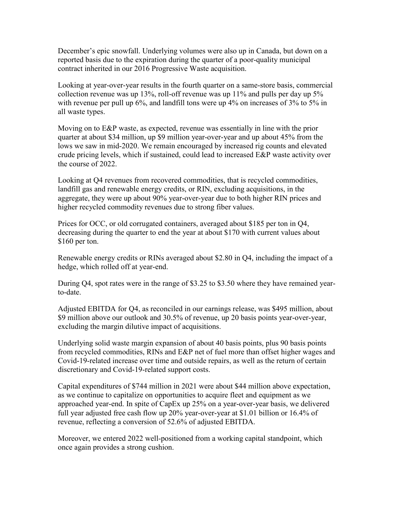December's epic snowfall. Underlying volumes were also up in Canada, but down on a reported basis due to the expiration during the quarter of a poor-quality municipal contract inherited in our 2016 Progressive Waste acquisition.

Looking at year-over-year results in the fourth quarter on a same-store basis, commercial collection revenue was up 13%, roll-off revenue was up 11% and pulls per day up 5% with revenue per pull up 6%, and landfill tons were up 4% on increases of 3% to 5% in all waste types.

Moving on to E&P waste, as expected, revenue was essentially in line with the prior quarter at about \$34 million, up \$9 million year-over-year and up about 45% from the lows we saw in mid-2020. We remain encouraged by increased rig counts and elevated crude pricing levels, which if sustained, could lead to increased E&P waste activity over the course of 2022.

Looking at Q4 revenues from recovered commodities, that is recycled commodities, landfill gas and renewable energy credits, or RIN, excluding acquisitions, in the aggregate, they were up about 90% year-over-year due to both higher RIN prices and higher recycled commodity revenues due to strong fiber values.

Prices for OCC, or old corrugated containers, averaged about \$185 per ton in Q4, decreasing during the quarter to end the year at about \$170 with current values about \$160 per ton.

Renewable energy credits or RINs averaged about \$2.80 in Q4, including the impact of a hedge, which rolled off at year-end.

During Q4, spot rates were in the range of \$3.25 to \$3.50 where they have remained yearto-date.

Adjusted EBITDA for Q4, as reconciled in our earnings release, was \$495 million, about \$9 million above our outlook and 30.5% of revenue, up 20 basis points year-over-year, excluding the margin dilutive impact of acquisitions.

Underlying solid waste margin expansion of about 40 basis points, plus 90 basis points from recycled commodities, RINs and E&P net of fuel more than offset higher wages and Covid-19-related increase over time and outside repairs, as well as the return of certain discretionary and Covid-19-related support costs.

Capital expenditures of \$744 million in 2021 were about \$44 million above expectation, as we continue to capitalize on opportunities to acquire fleet and equipment as we approached year-end. In spite of CapEx up 25% on a year-over-year basis, we delivered full year adjusted free cash flow up 20% year-over-year at \$1.01 billion or 16.4% of revenue, reflecting a conversion of 52.6% of adjusted EBITDA.

Moreover, we entered 2022 well-positioned from a working capital standpoint, which once again provides a strong cushion.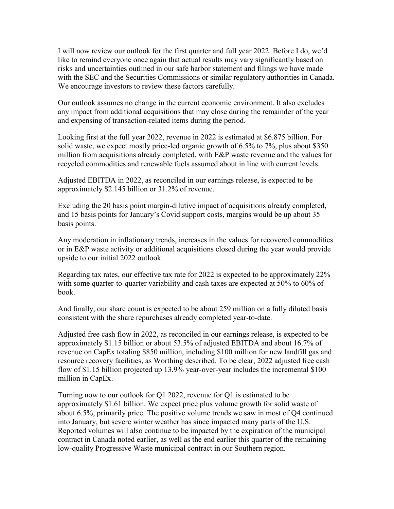I will now review our outlook for the first quarter and full year 2022. Before I do, we'd like to remind everyone once again that actual results may vary significantly based on risks and uncertainties outlined in our safe harbor statement and filings we have made with the SEC and the Securities Commissions or similar regulatory authorities in Canada. We encourage investors to review these factors carefully.

Our outlook assumes no change in the current economic environment. It also excludes any impact from additional acquisitions that may close during the remainder of the year and expensing of transaction-related items during the period.

Looking first at the full year 2022, revenue in 2022 is estimated at \$6.875 billion. For solid waste, we expect mostly price-led organic growth of 6.5% to 7%, plus about \$350 million from acquisitions already completed, with E&P waste revenue and the values for recycled commodities and renewable fuels assumed about in line with current levels.

Adjusted EBITDA in 2022, as reconciled in our earnings release, is expected to be approximately \$2.145 billion or 31.2% of revenue.

Excluding the 20 basis point margin-dilutive impact of acquisitions already completed, and 15 basis points for January's Covid support costs, margins would be up about 35 basis points.

Any moderation in inflationary trends, increases in the values for recovered commodities or in E&P waste activity or additional acquisitions closed during the year would provide upside to our initial 2022 outlook.

Regarding tax rates, our effective tax rate for 2022 is expected to be approximately 22% with some quarter-to-quarter variability and cash taxes are expected at 50% to 60% of book.

And finally, our share count is expected to be about 259 million on a fully diluted basis consistent with the share repurchases already completed year-to-date.

Adjusted free cash flow in 2022, as reconciled in our earnings release, is expected to be approximately \$1.15 billion or about 53.5% of adjusted EBITDA and about 16.7% of revenue on CapEx totaling \$850 million, including \$100 million for new landfill gas and resource recovery facilities, as Worthing described. To be clear, 2022 adjusted free cash flow of \$1.15 billion projected up 13.9% year-over-year includes the incremental \$100 million in CapEx.

Turning now to our outlook for Q1 2022, revenue for Q1 is estimated to be approximately \$1.61 billion. We expect price plus volume growth for solid waste of about 6.5%, primarily price. The positive volume trends we saw in most of Q4 continued into January, but severe winter weather has since impacted many parts of the U.S. Reported volumes will also continue to be impacted by the expiration of the municipal contract in Canada noted earlier, as well as the end earlier this quarter of the remaining low-quality Progressive Waste municipal contract in our Southern region.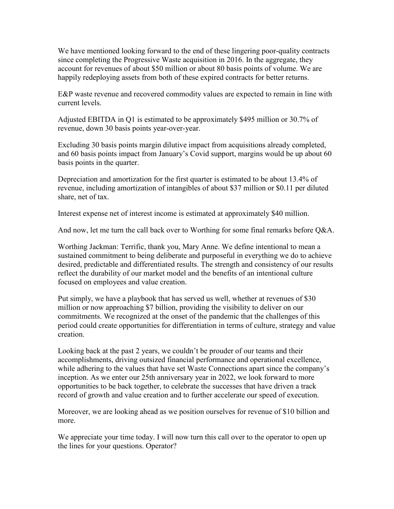We have mentioned looking forward to the end of these lingering poor-quality contracts since completing the Progressive Waste acquisition in 2016. In the aggregate, they account for revenues of about \$50 million or about 80 basis points of volume. We are happily redeploying assets from both of these expired contracts for better returns.

E&P waste revenue and recovered commodity values are expected to remain in line with current levels.

Adjusted EBITDA in Q1 is estimated to be approximately \$495 million or 30.7% of revenue, down 30 basis points year-over-year.

Excluding 30 basis points margin dilutive impact from acquisitions already completed, and 60 basis points impact from January's Covid support, margins would be up about 60 basis points in the quarter.

Depreciation and amortization for the first quarter is estimated to be about 13.4% of revenue, including amortization of intangibles of about \$37 million or \$0.11 per diluted share, net of tax.

Interest expense net of interest income is estimated at approximately \$40 million.

And now, let me turn the call back over to Worthing for some final remarks before Q&A.

Worthing Jackman: Terrific, thank you, Mary Anne. We define intentional to mean a sustained commitment to being deliberate and purposeful in everything we do to achieve desired, predictable and differentiated results. The strength and consistency of our results reflect the durability of our market model and the benefits of an intentional culture focused on employees and value creation.

Put simply, we have a playbook that has served us well, whether at revenues of \$30 million or now approaching \$7 billion, providing the visibility to deliver on our commitments. We recognized at the onset of the pandemic that the challenges of this period could create opportunities for differentiation in terms of culture, strategy and value creation.

Looking back at the past 2 years, we couldn't be prouder of our teams and their accomplishments, driving outsized financial performance and operational excellence, while adhering to the values that have set Waste Connections apart since the company's inception. As we enter our 25th anniversary year in 2022, we look forward to more opportunities to be back together, to celebrate the successes that have driven a track record of growth and value creation and to further accelerate our speed of execution.

Moreover, we are looking ahead as we position ourselves for revenue of \$10 billion and more.

We appreciate your time today. I will now turn this call over to the operator to open up the lines for your questions. Operator?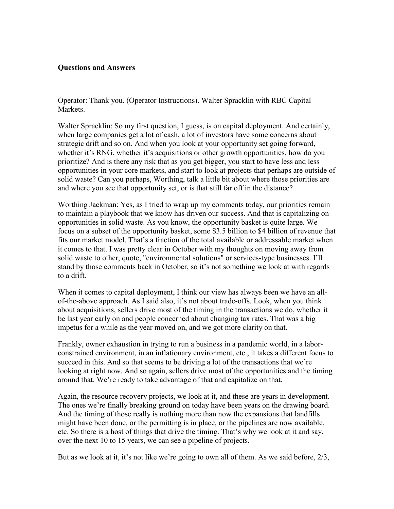## **Questions and Answers**

Operator: Thank you. (Operator Instructions). Walter Spracklin with RBC Capital Markets.

Walter Spracklin: So my first question, I guess, is on capital deployment. And certainly, when large companies get a lot of cash, a lot of investors have some concerns about strategic drift and so on. And when you look at your opportunity set going forward, whether it's RNG, whether it's acquisitions or other growth opportunities, how do you prioritize? And is there any risk that as you get bigger, you start to have less and less opportunities in your core markets, and start to look at projects that perhaps are outside of solid waste? Can you perhaps, Worthing, talk a little bit about where those priorities are and where you see that opportunity set, or is that still far off in the distance?

Worthing Jackman: Yes, as I tried to wrap up my comments today, our priorities remain to maintain a playbook that we know has driven our success. And that is capitalizing on opportunities in solid waste. As you know, the opportunity basket is quite large. We focus on a subset of the opportunity basket, some \$3.5 billion to \$4 billion of revenue that fits our market model. That's a fraction of the total available or addressable market when it comes to that. I was pretty clear in October with my thoughts on moving away from solid waste to other, quote, "environmental solutions" or services-type businesses. I'll stand by those comments back in October, so it's not something we look at with regards to a drift.

When it comes to capital deployment, I think our view has always been we have an allof-the-above approach. As I said also, it's not about trade-offs. Look, when you think about acquisitions, sellers drive most of the timing in the transactions we do, whether it be last year early on and people concerned about changing tax rates. That was a big impetus for a while as the year moved on, and we got more clarity on that.

Frankly, owner exhaustion in trying to run a business in a pandemic world, in a laborconstrained environment, in an inflationary environment, etc., it takes a different focus to succeed in this. And so that seems to be driving a lot of the transactions that we're looking at right now. And so again, sellers drive most of the opportunities and the timing around that. We're ready to take advantage of that and capitalize on that.

Again, the resource recovery projects, we look at it, and these are years in development. The ones we're finally breaking ground on today have been years on the drawing board. And the timing of those really is nothing more than now the expansions that landfills might have been done, or the permitting is in place, or the pipelines are now available, etc. So there is a host of things that drive the timing. That's why we look at it and say, over the next 10 to 15 years, we can see a pipeline of projects.

But as we look at it, it's not like we're going to own all of them. As we said before, 2/3,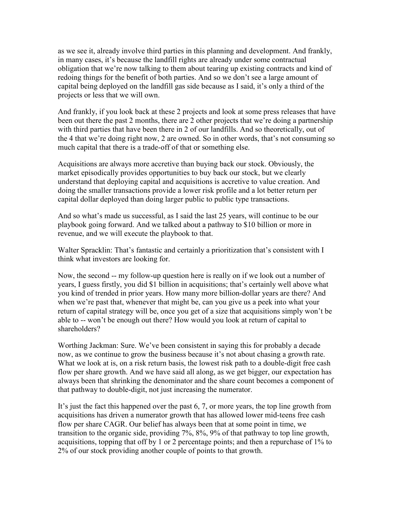as we see it, already involve third parties in this planning and development. And frankly, in many cases, it's because the landfill rights are already under some contractual obligation that we're now talking to them about tearing up existing contracts and kind of redoing things for the benefit of both parties. And so we don't see a large amount of capital being deployed on the landfill gas side because as I said, it's only a third of the projects or less that we will own.

And frankly, if you look back at these 2 projects and look at some press releases that have been out there the past 2 months, there are 2 other projects that we're doing a partnership with third parties that have been there in 2 of our landfills. And so theoretically, out of the 4 that we're doing right now, 2 are owned. So in other words, that's not consuming so much capital that there is a trade-off of that or something else.

Acquisitions are always more accretive than buying back our stock. Obviously, the market episodically provides opportunities to buy back our stock, but we clearly understand that deploying capital and acquisitions is accretive to value creation. And doing the smaller transactions provide a lower risk profile and a lot better return per capital dollar deployed than doing larger public to public type transactions.

And so what's made us successful, as I said the last 25 years, will continue to be our playbook going forward. And we talked about a pathway to \$10 billion or more in revenue, and we will execute the playbook to that.

Walter Spracklin: That's fantastic and certainly a prioritization that's consistent with I think what investors are looking for.

Now, the second -- my follow-up question here is really on if we look out a number of years, I guess firstly, you did \$1 billion in acquisitions; that's certainly well above what you kind of trended in prior years. How many more billion-dollar years are there? And when we're past that, whenever that might be, can you give us a peek into what your return of capital strategy will be, once you get of a size that acquisitions simply won't be able to -- won't be enough out there? How would you look at return of capital to shareholders?

Worthing Jackman: Sure. We've been consistent in saying this for probably a decade now, as we continue to grow the business because it's not about chasing a growth rate. What we look at is, on a risk return basis, the lowest risk path to a double-digit free cash flow per share growth. And we have said all along, as we get bigger, our expectation has always been that shrinking the denominator and the share count becomes a component of that pathway to double-digit, not just increasing the numerator.

It's just the fact this happened over the past 6, 7, or more years, the top line growth from acquisitions has driven a numerator growth that has allowed lower mid-teens free cash flow per share CAGR. Our belief has always been that at some point in time, we transition to the organic side, providing 7%, 8%, 9% of that pathway to top line growth, acquisitions, topping that off by 1 or 2 percentage points; and then a repurchase of 1% to 2% of our stock providing another couple of points to that growth.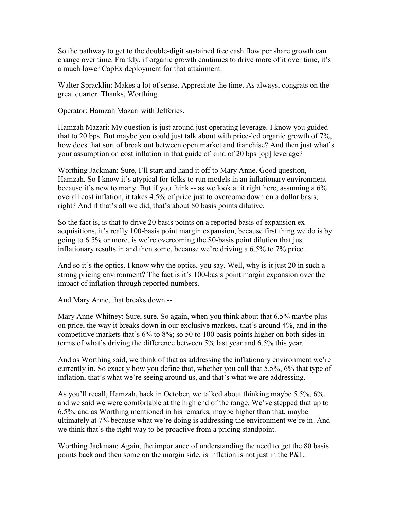So the pathway to get to the double-digit sustained free cash flow per share growth can change over time. Frankly, if organic growth continues to drive more of it over time, it's a much lower CapEx deployment for that attainment.

Walter Spracklin: Makes a lot of sense. Appreciate the time. As always, congrats on the great quarter. Thanks, Worthing.

Operator: Hamzah Mazari with Jefferies.

Hamzah Mazari: My question is just around just operating leverage. I know you guided that to 20 bps. But maybe you could just talk about with price-led organic growth of 7%, how does that sort of break out between open market and franchise? And then just what's your assumption on cost inflation in that guide of kind of 20 bps [op] leverage?

Worthing Jackman: Sure, I'll start and hand it off to Mary Anne. Good question, Hamzah. So I know it's atypical for folks to run models in an inflationary environment because it's new to many. But if you think -- as we look at it right here, assuming a 6% overall cost inflation, it takes 4.5% of price just to overcome down on a dollar basis, right? And if that's all we did, that's about 80 basis points dilutive.

So the fact is, is that to drive 20 basis points on a reported basis of expansion ex acquisitions, it's really 100-basis point margin expansion, because first thing we do is by going to 6.5% or more, is we're overcoming the 80-basis point dilution that just inflationary results in and then some, because we're driving a 6.5% to 7% price.

And so it's the optics. I know why the optics, you say. Well, why is it just 20 in such a strong pricing environment? The fact is it's 100-basis point margin expansion over the impact of inflation through reported numbers.

And Mary Anne, that breaks down -- .

Mary Anne Whitney: Sure, sure. So again, when you think about that 6.5% maybe plus on price, the way it breaks down in our exclusive markets, that's around 4%, and in the competitive markets that's 6% to 8%; so 50 to 100 basis points higher on both sides in terms of what's driving the difference between 5% last year and 6.5% this year.

And as Worthing said, we think of that as addressing the inflationary environment we're currently in. So exactly how you define that, whether you call that 5.5%, 6% that type of inflation, that's what we're seeing around us, and that's what we are addressing.

As you'll recall, Hamzah, back in October, we talked about thinking maybe 5.5%, 6%, and we said we were comfortable at the high end of the range. We've stepped that up to 6.5%, and as Worthing mentioned in his remarks, maybe higher than that, maybe ultimately at 7% because what we're doing is addressing the environment we're in. And we think that's the right way to be proactive from a pricing standpoint.

Worthing Jackman: Again, the importance of understanding the need to get the 80 basis points back and then some on the margin side, is inflation is not just in the P&L.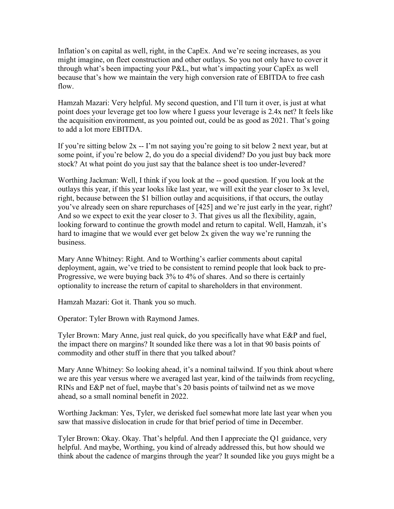Inflation's on capital as well, right, in the CapEx. And we're seeing increases, as you might imagine, on fleet construction and other outlays. So you not only have to cover it through what's been impacting your P&L, but what's impacting your CapEx as well because that's how we maintain the very high conversion rate of EBITDA to free cash flow.

Hamzah Mazari: Very helpful. My second question, and I'll turn it over, is just at what point does your leverage get too low where I guess your leverage is 2.4x net? It feels like the acquisition environment, as you pointed out, could be as good as 2021. That's going to add a lot more EBITDA.

If you're sitting below 2x -- I'm not saying you're going to sit below 2 next year, but at some point, if you're below 2, do you do a special dividend? Do you just buy back more stock? At what point do you just say that the balance sheet is too under-levered?

Worthing Jackman: Well, I think if you look at the -- good question. If you look at the outlays this year, if this year looks like last year, we will exit the year closer to 3x level, right, because between the \$1 billion outlay and acquisitions, if that occurs, the outlay you've already seen on share repurchases of [425] and we're just early in the year, right? And so we expect to exit the year closer to 3. That gives us all the flexibility, again, looking forward to continue the growth model and return to capital. Well, Hamzah, it's hard to imagine that we would ever get below 2x given the way we're running the business.

Mary Anne Whitney: Right. And to Worthing's earlier comments about capital deployment, again, we've tried to be consistent to remind people that look back to pre-Progressive, we were buying back 3% to 4% of shares. And so there is certainly optionality to increase the return of capital to shareholders in that environment.

Hamzah Mazari: Got it. Thank you so much.

Operator: Tyler Brown with Raymond James.

Tyler Brown: Mary Anne, just real quick, do you specifically have what E&P and fuel, the impact there on margins? It sounded like there was a lot in that 90 basis points of commodity and other stuff in there that you talked about?

Mary Anne Whitney: So looking ahead, it's a nominal tailwind. If you think about where we are this year versus where we averaged last year, kind of the tailwinds from recycling, RINs and E&P net of fuel, maybe that's 20 basis points of tailwind net as we move ahead, so a small nominal benefit in 2022.

Worthing Jackman: Yes, Tyler, we derisked fuel somewhat more late last year when you saw that massive dislocation in crude for that brief period of time in December.

Tyler Brown: Okay. Okay. That's helpful. And then I appreciate the Q1 guidance, very helpful. And maybe, Worthing, you kind of already addressed this, but how should we think about the cadence of margins through the year? It sounded like you guys might be a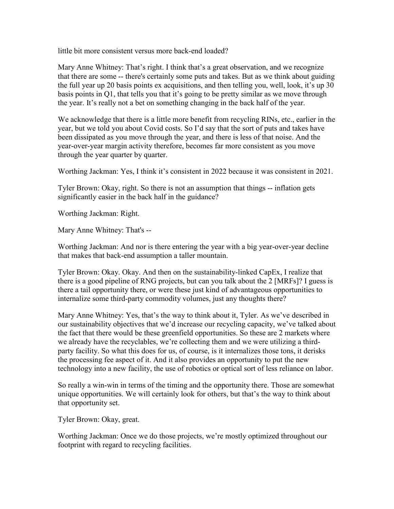little bit more consistent versus more back-end loaded?

Mary Anne Whitney: That's right. I think that's a great observation, and we recognize that there are some -- there's certainly some puts and takes. But as we think about guiding the full year up 20 basis points ex acquisitions, and then telling you, well, look, it's up 30 basis points in Q1, that tells you that it's going to be pretty similar as we move through the year. It's really not a bet on something changing in the back half of the year.

We acknowledge that there is a little more benefit from recycling RINs, etc., earlier in the year, but we told you about Covid costs. So I'd say that the sort of puts and takes have been dissipated as you move through the year, and there is less of that noise. And the year-over-year margin activity therefore, becomes far more consistent as you move through the year quarter by quarter.

Worthing Jackman: Yes, I think it's consistent in 2022 because it was consistent in 2021.

Tyler Brown: Okay, right. So there is not an assumption that things -- inflation gets significantly easier in the back half in the guidance?

Worthing Jackman: Right.

Mary Anne Whitney: That's --

Worthing Jackman: And nor is there entering the year with a big year-over-year decline that makes that back-end assumption a taller mountain.

Tyler Brown: Okay. Okay. And then on the sustainability-linked CapEx, I realize that there is a good pipeline of RNG projects, but can you talk about the 2 [MRFs]? I guess is there a tail opportunity there, or were these just kind of advantageous opportunities to internalize some third-party commodity volumes, just any thoughts there?

Mary Anne Whitney: Yes, that's the way to think about it, Tyler. As we've described in our sustainability objectives that we'd increase our recycling capacity, we've talked about the fact that there would be these greenfield opportunities. So these are 2 markets where we already have the recyclables, we're collecting them and we were utilizing a thirdparty facility. So what this does for us, of course, is it internalizes those tons, it derisks the processing fee aspect of it. And it also provides an opportunity to put the new technology into a new facility, the use of robotics or optical sort of less reliance on labor.

So really a win-win in terms of the timing and the opportunity there. Those are somewhat unique opportunities. We will certainly look for others, but that's the way to think about that opportunity set.

Tyler Brown: Okay, great.

Worthing Jackman: Once we do those projects, we're mostly optimized throughout our footprint with regard to recycling facilities.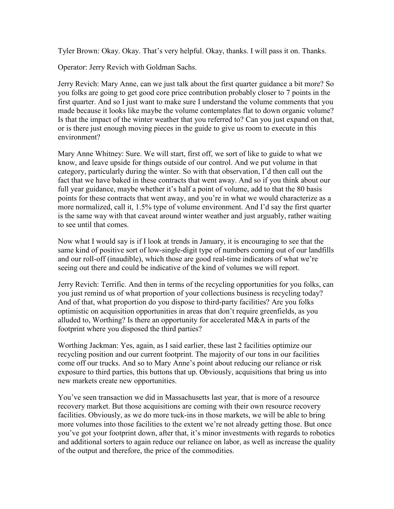Tyler Brown: Okay. Okay. That's very helpful. Okay, thanks. I will pass it on. Thanks.

Operator: Jerry Revich with Goldman Sachs.

Jerry Revich: Mary Anne, can we just talk about the first quarter guidance a bit more? So you folks are going to get good core price contribution probably closer to 7 points in the first quarter. And so I just want to make sure I understand the volume comments that you made because it looks like maybe the volume contemplates flat to down organic volume? Is that the impact of the winter weather that you referred to? Can you just expand on that, or is there just enough moving pieces in the guide to give us room to execute in this environment?

Mary Anne Whitney: Sure. We will start, first off, we sort of like to guide to what we know, and leave upside for things outside of our control. And we put volume in that category, particularly during the winter. So with that observation, I'd then call out the fact that we have baked in these contracts that went away. And so if you think about our full year guidance, maybe whether it's half a point of volume, add to that the 80 basis points for these contracts that went away, and you're in what we would characterize as a more normalized, call it, 1.5% type of volume environment. And I'd say the first quarter is the same way with that caveat around winter weather and just arguably, rather waiting to see until that comes.

Now what I would say is if I look at trends in January, it is encouraging to see that the same kind of positive sort of low-single-digit type of numbers coming out of our landfills and our roll-off (inaudible), which those are good real-time indicators of what we're seeing out there and could be indicative of the kind of volumes we will report.

Jerry Revich: Terrific. And then in terms of the recycling opportunities for you folks, can you just remind us of what proportion of your collections business is recycling today? And of that, what proportion do you dispose to third-party facilities? Are you folks optimistic on acquisition opportunities in areas that don't require greenfields, as you alluded to, Worthing? Is there an opportunity for accelerated M&A in parts of the footprint where you disposed the third parties?

Worthing Jackman: Yes, again, as I said earlier, these last 2 facilities optimize our recycling position and our current footprint. The majority of our tons in our facilities come off our trucks. And so to Mary Anne's point about reducing our reliance or risk exposure to third parties, this buttons that up. Obviously, acquisitions that bring us into new markets create new opportunities.

You've seen transaction we did in Massachusetts last year, that is more of a resource recovery market. But those acquisitions are coming with their own resource recovery facilities. Obviously, as we do more tuck-ins in those markets, we will be able to bring more volumes into those facilities to the extent we're not already getting those. But once you've got your footprint down, after that, it's minor investments with regards to robotics and additional sorters to again reduce our reliance on labor, as well as increase the quality of the output and therefore, the price of the commodities.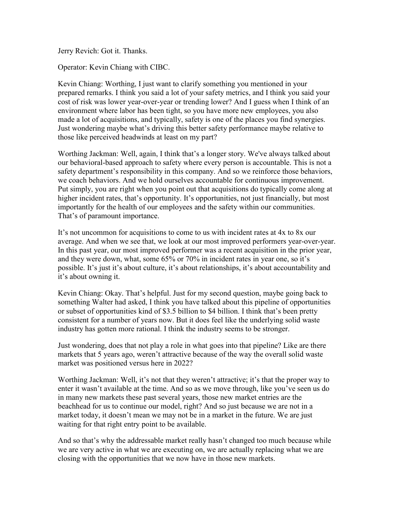Jerry Revich: Got it. Thanks.

Operator: Kevin Chiang with CIBC.

Kevin Chiang: Worthing, I just want to clarify something you mentioned in your prepared remarks. I think you said a lot of your safety metrics, and I think you said your cost of risk was lower year-over-year or trending lower? And I guess when I think of an environment where labor has been tight, so you have more new employees, you also made a lot of acquisitions, and typically, safety is one of the places you find synergies. Just wondering maybe what's driving this better safety performance maybe relative to those like perceived headwinds at least on my part?

Worthing Jackman: Well, again, I think that's a longer story. We've always talked about our behavioral-based approach to safety where every person is accountable. This is not a safety department's responsibility in this company. And so we reinforce those behaviors, we coach behaviors. And we hold ourselves accountable for continuous improvement. Put simply, you are right when you point out that acquisitions do typically come along at higher incident rates, that's opportunity. It's opportunities, not just financially, but most importantly for the health of our employees and the safety within our communities. That's of paramount importance.

It's not uncommon for acquisitions to come to us with incident rates at 4x to 8x our average. And when we see that, we look at our most improved performers year-over-year. In this past year, our most improved performer was a recent acquisition in the prior year, and they were down, what, some 65% or 70% in incident rates in year one, so it's possible. It's just it's about culture, it's about relationships, it's about accountability and it's about owning it.

Kevin Chiang: Okay. That's helpful. Just for my second question, maybe going back to something Walter had asked, I think you have talked about this pipeline of opportunities or subset of opportunities kind of \$3.5 billion to \$4 billion. I think that's been pretty consistent for a number of years now. But it does feel like the underlying solid waste industry has gotten more rational. I think the industry seems to be stronger.

Just wondering, does that not play a role in what goes into that pipeline? Like are there markets that 5 years ago, weren't attractive because of the way the overall solid waste market was positioned versus here in 2022?

Worthing Jackman: Well, it's not that they weren't attractive; it's that the proper way to enter it wasn't available at the time. And so as we move through, like you've seen us do in many new markets these past several years, those new market entries are the beachhead for us to continue our model, right? And so just because we are not in a market today, it doesn't mean we may not be in a market in the future. We are just waiting for that right entry point to be available.

And so that's why the addressable market really hasn't changed too much because while we are very active in what we are executing on, we are actually replacing what we are closing with the opportunities that we now have in those new markets.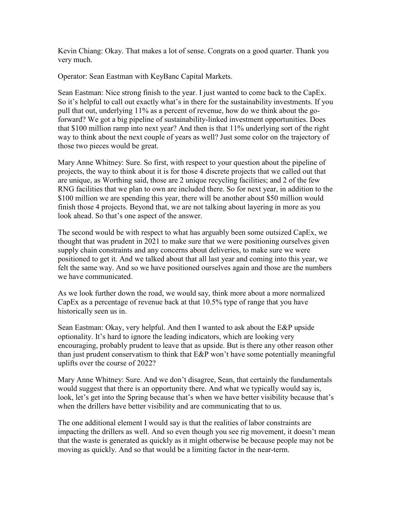Kevin Chiang: Okay. That makes a lot of sense. Congrats on a good quarter. Thank you very much.

Operator: Sean Eastman with KeyBanc Capital Markets.

Sean Eastman: Nice strong finish to the year. I just wanted to come back to the CapEx. So it's helpful to call out exactly what's in there for the sustainability investments. If you pull that out, underlying 11% as a percent of revenue, how do we think about the goforward? We got a big pipeline of sustainability-linked investment opportunities. Does that \$100 million ramp into next year? And then is that 11% underlying sort of the right way to think about the next couple of years as well? Just some color on the trajectory of those two pieces would be great.

Mary Anne Whitney: Sure. So first, with respect to your question about the pipeline of projects, the way to think about it is for those 4 discrete projects that we called out that are unique, as Worthing said, those are 2 unique recycling facilities; and 2 of the few RNG facilities that we plan to own are included there. So for next year, in addition to the \$100 million we are spending this year, there will be another about \$50 million would finish those 4 projects. Beyond that, we are not talking about layering in more as you look ahead. So that's one aspect of the answer.

The second would be with respect to what has arguably been some outsized CapEx, we thought that was prudent in 2021 to make sure that we were positioning ourselves given supply chain constraints and any concerns about deliveries, to make sure we were positioned to get it. And we talked about that all last year and coming into this year, we felt the same way. And so we have positioned ourselves again and those are the numbers we have communicated.

As we look further down the road, we would say, think more about a more normalized CapEx as a percentage of revenue back at that 10.5% type of range that you have historically seen us in.

Sean Eastman: Okay, very helpful. And then I wanted to ask about the E&P upside optionality. It's hard to ignore the leading indicators, which are looking very encouraging, probably prudent to leave that as upside. But is there any other reason other than just prudent conservatism to think that E&P won't have some potentially meaningful uplifts over the course of 2022?

Mary Anne Whitney: Sure. And we don't disagree, Sean, that certainly the fundamentals would suggest that there is an opportunity there. And what we typically would say is, look, let's get into the Spring because that's when we have better visibility because that's when the drillers have better visibility and are communicating that to us.

The one additional element I would say is that the realities of labor constraints are impacting the drillers as well. And so even though you see rig movement, it doesn't mean that the waste is generated as quickly as it might otherwise be because people may not be moving as quickly. And so that would be a limiting factor in the near-term.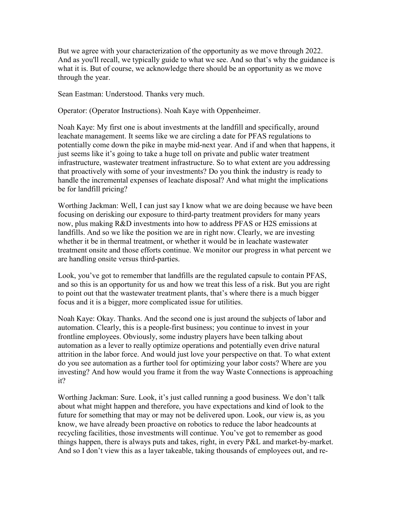But we agree with your characterization of the opportunity as we move through 2022. And as you'll recall, we typically guide to what we see. And so that's why the guidance is what it is. But of course, we acknowledge there should be an opportunity as we move through the year.

Sean Eastman: Understood. Thanks very much.

Operator: (Operator Instructions). Noah Kaye with Oppenheimer.

Noah Kaye: My first one is about investments at the landfill and specifically, around leachate management. It seems like we are circling a date for PFAS regulations to potentially come down the pike in maybe mid-next year. And if and when that happens, it just seems like it's going to take a huge toll on private and public water treatment infrastructure, wastewater treatment infrastructure. So to what extent are you addressing that proactively with some of your investments? Do you think the industry is ready to handle the incremental expenses of leachate disposal? And what might the implications be for landfill pricing?

Worthing Jackman: Well, I can just say I know what we are doing because we have been focusing on derisking our exposure to third-party treatment providers for many years now, plus making R&D investments into how to address PFAS or H2S emissions at landfills. And so we like the position we are in right now. Clearly, we are investing whether it be in thermal treatment, or whether it would be in leachate wastewater treatment onsite and those efforts continue. We monitor our progress in what percent we are handling onsite versus third-parties.

Look, you've got to remember that landfills are the regulated capsule to contain PFAS, and so this is an opportunity for us and how we treat this less of a risk. But you are right to point out that the wastewater treatment plants, that's where there is a much bigger focus and it is a bigger, more complicated issue for utilities.

Noah Kaye: Okay. Thanks. And the second one is just around the subjects of labor and automation. Clearly, this is a people-first business; you continue to invest in your frontline employees. Obviously, some industry players have been talking about automation as a lever to really optimize operations and potentially even drive natural attrition in the labor force. And would just love your perspective on that. To what extent do you see automation as a further tool for optimizing your labor costs? Where are you investing? And how would you frame it from the way Waste Connections is approaching it?

Worthing Jackman: Sure. Look, it's just called running a good business. We don't talk about what might happen and therefore, you have expectations and kind of look to the future for something that may or may not be delivered upon. Look, our view is, as you know, we have already been proactive on robotics to reduce the labor headcounts at recycling facilities, those investments will continue. You've got to remember as good things happen, there is always puts and takes, right, in every P&L and market-by-market. And so I don't view this as a layer takeable, taking thousands of employees out, and re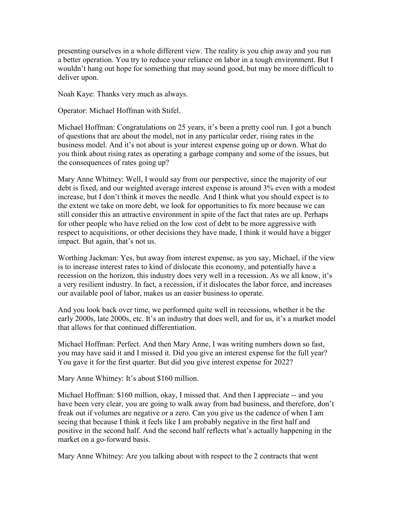presenting ourselves in a whole different view. The reality is you chip away and you run a better operation. You try to reduce your reliance on labor in a tough environment. But I wouldn't hang out hope for something that may sound good, but may be more difficult to deliver upon.

Noah Kaye: Thanks very much as always.

Operator: Michael Hoffman with Stifel.

Michael Hoffman: Congratulations on 25 years, it's been a pretty cool run. I got a bunch of questions that are about the model, not in any particular order, rising rates in the business model. And it's not about is your interest expense going up or down. What do you think about rising rates as operating a garbage company and some of the issues, but the consequences of rates going up?

Mary Anne Whitney: Well, I would say from our perspective, since the majority of our debt is fixed, and our weighted average interest expense is around 3% even with a modest increase, but I don't think it moves the needle. And I think what you should expect is to the extent we take on more debt, we look for opportunities to fix more because we can still consider this an attractive environment in spite of the fact that rates are up. Perhaps for other people who have relied on the low cost of debt to be more aggressive with respect to acquisitions, or other decisions they have made, I think it would have a bigger impact. But again, that's not us.

Worthing Jackman: Yes, but away from interest expense, as you say, Michael, if the view is to increase interest rates to kind of dislocate this economy, and potentially have a recession on the horizon, this industry does very well in a recession. As we all know, it's a very resilient industry. In fact, a recession, if it dislocates the labor force, and increases our available pool of labor, makes us an easier business to operate.

And you look back over time, we performed quite well in recessions, whether it be the early 2000s, late 2000s, etc. It's an industry that does well, and for us, it's a market model that allows for that continued differentiation.

Michael Hoffman: Perfect. And then Mary Anne, I was writing numbers down so fast, you may have said it and I missed it. Did you give an interest expense for the full year? You gave it for the first quarter. But did you give interest expense for 2022?

Mary Anne Whitney: It's about \$160 million.

Michael Hoffman: \$160 million, okay, I missed that. And then I appreciate -- and you have been very clear, you are going to walk away from bad business, and therefore, don't freak out if volumes are negative or a zero. Can you give us the cadence of when I am seeing that because I think it feels like I am probably negative in the first half and positive in the second half. And the second half reflects what's actually happening in the market on a go-forward basis.

Mary Anne Whitney: Are you talking about with respect to the 2 contracts that went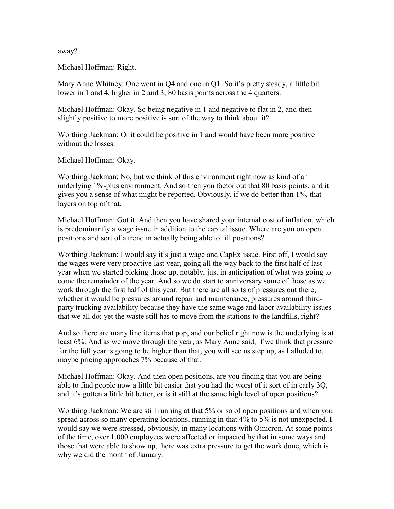away?

Michael Hoffman: Right.

Mary Anne Whitney: One went in Q4 and one in Q1. So it's pretty steady, a little bit lower in 1 and 4, higher in 2 and 3, 80 basis points across the 4 quarters.

Michael Hoffman: Okay. So being negative in 1 and negative to flat in 2, and then slightly positive to more positive is sort of the way to think about it?

Worthing Jackman: Or it could be positive in 1 and would have been more positive without the losses.

Michael Hoffman: Okay.

Worthing Jackman: No, but we think of this environment right now as kind of an underlying 1%-plus environment. And so then you factor out that 80 basis points, and it gives you a sense of what might be reported. Obviously, if we do better than 1%, that layers on top of that.

Michael Hoffman: Got it. And then you have shared your internal cost of inflation, which is predominantly a wage issue in addition to the capital issue. Where are you on open positions and sort of a trend in actually being able to fill positions?

Worthing Jackman: I would say it's just a wage and CapEx issue. First off, I would say the wages were very proactive last year, going all the way back to the first half of last year when we started picking those up, notably, just in anticipation of what was going to come the remainder of the year. And so we do start to anniversary some of those as we work through the first half of this year. But there are all sorts of pressures out there, whether it would be pressures around repair and maintenance, pressures around thirdparty trucking availability because they have the same wage and labor availability issues that we all do; yet the waste still has to move from the stations to the landfills, right?

And so there are many line items that pop, and our belief right now is the underlying is at least 6%. And as we move through the year, as Mary Anne said, if we think that pressure for the full year is going to be higher than that, you will see us step up, as I alluded to, maybe pricing approaches 7% because of that.

Michael Hoffman: Okay. And then open positions, are you finding that you are being able to find people now a little bit easier that you had the worst of it sort of in early 3Q, and it's gotten a little bit better, or is it still at the same high level of open positions?

Worthing Jackman: We are still running at that 5% or so of open positions and when you spread across so many operating locations, running in that 4% to 5% is not unexpected. I would say we were stressed, obviously, in many locations with Omicron. At some points of the time, over 1,000 employees were affected or impacted by that in some ways and those that were able to show up, there was extra pressure to get the work done, which is why we did the month of January.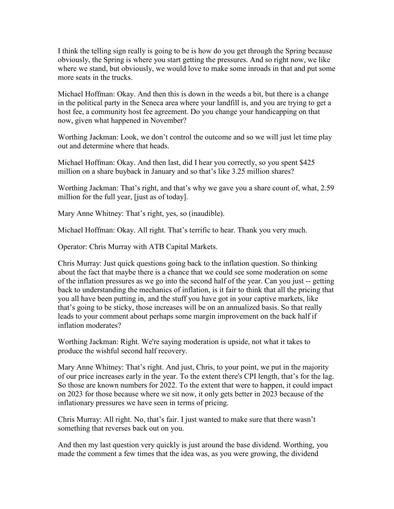I think the telling sign really is going to be is how do you get through the Spring because obviously, the Spring is where you start getting the pressures. And so right now, we like where we stand, but obviously, we would love to make some inroads in that and put some more seats in the trucks.

Michael Hoffman: Okay. And then this is down in the weeds a bit, but there is a change in the political party in the Seneca area where your landfill is, and you are trying to get a host fee, a community host fee agreement. Do you change your handicapping on that now, given what happened in November?

Worthing Jackman: Look, we don't control the outcome and so we will just let time play out and determine where that heads.

Michael Hoffman: Okay. And then last, did I hear you correctly, so you spent \$425 million on a share buyback in January and so that's like 3.25 million shares?

Worthing Jackman: That's right, and that's why we gave you a share count of, what, 2.59 million for the full year, [just as of today].

Mary Anne Whitney: That's right, yes, so (inaudible).

Michael Hoffman: Okay. All right. That's terrific to hear. Thank you very much.

Operator: Chris Murray with ATB Capital Markets.

Chris Murray: Just quick questions going back to the inflation question. So thinking about the fact that maybe there is a chance that we could see some moderation on some of the inflation pressures as we go into the second half of the year. Can you just -- getting back to understanding the mechanics of inflation, is it fair to think that all the pricing that you all have been putting in, and the stuff you have got in your captive markets, like that's going to be sticky, those increases will be on an annualized basis. So that really leads to your comment about perhaps some margin improvement on the back half if inflation moderates?

Worthing Jackman: Right. We're saying moderation is upside, not what it takes to produce the wishful second half recovery.

Mary Anne Whitney: That's right. And just, Chris, to your point, we put in the majority of our price increases early in the year. To the extent there's CPI length, that's for the lag. So those are known numbers for 2022. To the extent that were to happen, it could impact on 2023 for those because where we sit now, it only gets better in 2023 because of the inflationary pressures we have seen in terms of pricing.

Chris Murray: All right. No, that's fair. I just wanted to make sure that there wasn't something that reverses back out on you.

And then my last question very quickly is just around the base dividend. Worthing, you made the comment a few times that the idea was, as you were growing, the dividend